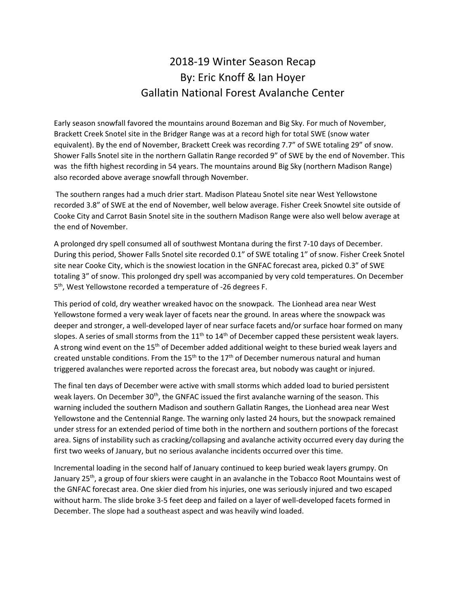## 2018-19 Winter Season Recap By: Eric Knoff & Ian Hoyer Gallatin National Forest Avalanche Center

Early season snowfall favored the mountains around Bozeman and Big Sky. For much of November, Brackett Creek Snotel site in the Bridger Range was at a record high for total SWE (snow water equivalent). By the end of November, Brackett Creek was recording 7.7" of SWE totaling 29" of snow. Shower Falls Snotel site in the northern Gallatin Range recorded 9" of SWE by the end of November. This was the fifth highest recording in 54 years. The mountains around Big Sky (northern Madison Range) also recorded above average snowfall through November.

The southern ranges had a much drier start. Madison Plateau Snotel site near West Yellowstone recorded 3.8" of SWE at the end of November, well below average. Fisher Creek Snowtel site outside of Cooke City and Carrot Basin Snotel site in the southern Madison Range were also well below average at the end of November.

A prolonged dry spell consumed all of southwest Montana during the first 7-10 days of December. During this period, Shower Falls Snotel site recorded 0.1" of SWE totaling 1" of snow. Fisher Creek Snotel site near Cooke City, which is the snowiest location in the GNFAC forecast area, picked 0.3" of SWE totaling 3" of snow. This prolonged dry spell was accompanied by very cold temperatures. On December 5 th, West Yellowstone recorded a temperature of -26 degrees F.

This period of cold, dry weather wreaked havoc on the snowpack. The Lionhead area near West Yellowstone formed a very weak layer of facets near the ground. In areas where the snowpack was deeper and stronger, a well-developed layer of near surface facets and/or surface hoar formed on many slopes. A series of small storms from the  $11<sup>th</sup>$  to  $14<sup>th</sup>$  of December capped these persistent weak layers. A strong wind event on the 15<sup>th</sup> of December added additional weight to these buried weak layers and created unstable conditions. From the  $15<sup>th</sup>$  to the  $17<sup>th</sup>$  of December numerous natural and human triggered avalanches were reported across the forecast area, but nobody was caught or injured.

The final ten days of December were active with small storms which added load to buried persistent weak layers. On December 30<sup>th</sup>, the GNFAC issued the first avalanche warning of the season. This warning included the southern Madison and southern Gallatin Ranges, the Lionhead area near West Yellowstone and the Centennial Range. The warning only lasted 24 hours, but the snowpack remained under stress for an extended period of time both in the northern and southern portions of the forecast area. Signs of instability such as cracking/collapsing and avalanche activity occurred every day during the first two weeks of January, but no serious avalanche incidents occurred over this time.

Incremental loading in the second half of January continued to keep buried weak layers grumpy. On January 25th, a group of four skiers were caught in an avalanche in the Tobacco Root Mountains west of the GNFAC forecast area. One skier died from his injuries, one was seriously injured and two escaped without harm. The slide broke 3-5 feet deep and failed on a layer of well-developed facets formed in December. The slope had a southeast aspect and was heavily wind loaded.